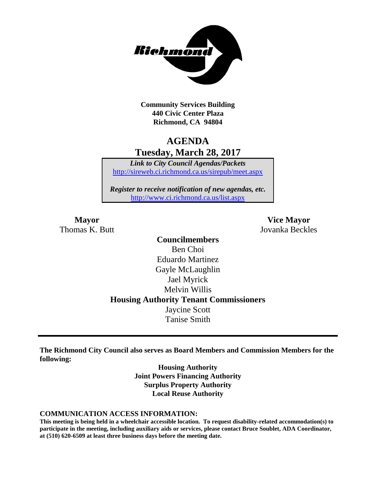

**Community Services Building 440 Civic Center Plaza Richmond, CA 94804**

# **AGENDA Tuesday, March 28, 2017**

*Link to City Council Agendas/Packets* <http://sireweb.ci.richmond.ca.us/sirepub/meet.aspx>

*Register to receive notification of new agendas, etc.* <http://www.ci.richmond.ca.us/list.aspx>

**Mayor Vice Mayor** Thomas K. Butt Jovanka Beckles

> **Councilmembers** Ben Choi Eduardo Martinez Gayle McLaughlin Jael Myrick Melvin Willis **Housing Authority Tenant Commissioners** Jaycine Scott Tanise Smith

**The Richmond City Council also serves as Board Members and Commission Members for the following:**

> **Housing Authority Joint Powers Financing Authority Surplus Property Authority Local Reuse Authority**

#### **COMMUNICATION ACCESS INFORMATION:**

**This meeting is being held in a wheelchair accessible location. To request disability-related accommodation(s) to participate in the meeting, including auxiliary aids or services, please contact Bruce Soublet, ADA Coordinator, at (510) 620-6509 at least three business days before the meeting date.**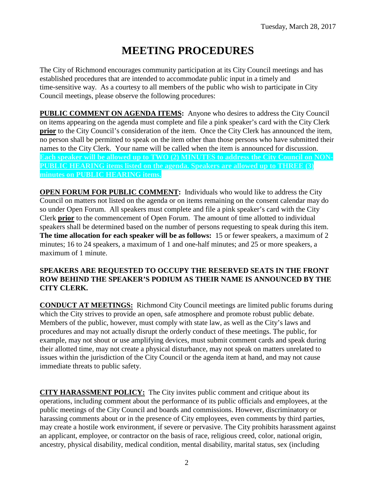# **MEETING PROCEDURES**

The City of Richmond encourages community participation at its City Council meetings and has established procedures that are intended to accommodate public input in a timely and time-sensitive way. As a courtesy to all members of the public who wish to participate in City Council meetings, please observe the following procedures:

**PUBLIC COMMENT ON AGENDA ITEMS:** Anyone who desires to address the City Council on items appearing on the agenda must complete and file a pink speaker's card with the City Clerk **prior** to the City Council's consideration of the item. Once the City Clerk has announced the item, no person shall be permitted to speak on the item other than those persons who have submitted their names to the City Clerk. Your name will be called when the item is announced for discussion. **Each speaker will be allowed up to TWO (2) MINUTES to address the City Council on NON-PUBLIC HEARING items listed on the agenda. Speakers are allowed up to THREE (3) minutes on PUBLIC HEARING items.**

**OPEN FORUM FOR PUBLIC COMMENT:** Individuals who would like to address the City Council on matters not listed on the agenda or on items remaining on the consent calendar may do so under Open Forum. All speakers must complete and file a pink speaker's card with the City Clerk **prior** to the commencement of Open Forum. The amount of time allotted to individual speakers shall be determined based on the number of persons requesting to speak during this item. **The time allocation for each speaker will be as follows:** 15 or fewer speakers, a maximum of 2 minutes; 16 to 24 speakers, a maximum of 1 and one-half minutes; and 25 or more speakers, a maximum of 1 minute.

### **SPEAKERS ARE REQUESTED TO OCCUPY THE RESERVED SEATS IN THE FRONT ROW BEHIND THE SPEAKER'S PODIUM AS THEIR NAME IS ANNOUNCED BY THE CITY CLERK.**

**CONDUCT AT MEETINGS:** Richmond City Council meetings are limited public forums during which the City strives to provide an open, safe atmosphere and promote robust public debate. Members of the public, however, must comply with state law, as well as the City's laws and procedures and may not actually disrupt the orderly conduct of these meetings. The public, for example, may not shout or use amplifying devices, must submit comment cards and speak during their allotted time, may not create a physical disturbance, may not speak on matters unrelated to issues within the jurisdiction of the City Council or the agenda item at hand, and may not cause immediate threats to public safety.

**CITY HARASSMENT POLICY:** The City invites public comment and critique about its operations, including comment about the performance of its public officials and employees, at the public meetings of the City Council and boards and commissions. However, discriminatory or harassing comments about or in the presence of City employees, even comments by third parties, may create a hostile work environment, if severe or pervasive. The City prohibits harassment against an applicant, employee, or contractor on the basis of race, religious creed, color, national origin, ancestry, physical disability, medical condition, mental disability, marital status, sex (including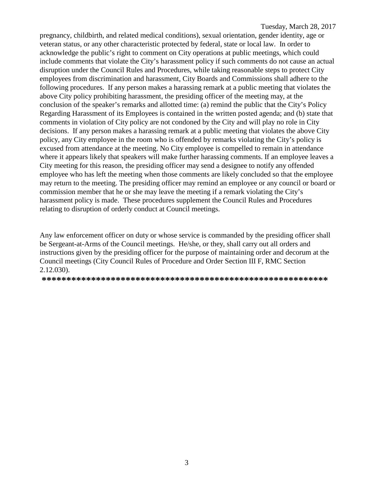pregnancy, childbirth, and related medical conditions), sexual orientation, gender identity, age or veteran status, or any other characteristic protected by federal, state or local law. In order to acknowledge the public's right to comment on City operations at public meetings, which could include comments that violate the City's harassment policy if such comments do not cause an actual disruption under the Council Rules and Procedures, while taking reasonable steps to protect City employees from discrimination and harassment, City Boards and Commissions shall adhere to the following procedures. If any person makes a harassing remark at a public meeting that violates the above City policy prohibiting harassment, the presiding officer of the meeting may, at the conclusion of the speaker's remarks and allotted time: (a) remind the public that the City's Policy Regarding Harassment of its Employees is contained in the written posted agenda; and (b) state that comments in violation of City policy are not condoned by the City and will play no role in City decisions. If any person makes a harassing remark at a public meeting that violates the above City policy, any City employee in the room who is offended by remarks violating the City's policy is excused from attendance at the meeting. No City employee is compelled to remain in attendance where it appears likely that speakers will make further harassing comments. If an employee leaves a City meeting for this reason, the presiding officer may send a designee to notify any offended employee who has left the meeting when those comments are likely concluded so that the employee may return to the meeting. The presiding officer may remind an employee or any council or board or commission member that he or she may leave the meeting if a remark violating the City's harassment policy is made. These procedures supplement the Council Rules and Procedures relating to disruption of orderly conduct at Council meetings.

Any law enforcement officer on duty or whose service is commanded by the presiding officer shall be Sergeant-at-Arms of the Council meetings. He/she, or they, shall carry out all orders and instructions given by the presiding officer for the purpose of maintaining order and decorum at the Council meetings (City Council Rules of Procedure and Order Section III F, RMC Section 2.12.030).

**\*\*\*\*\*\*\*\*\*\*\*\*\*\*\*\*\*\*\*\*\*\*\*\*\*\*\*\*\*\*\*\*\*\*\*\*\*\*\*\*\*\*\*\*\*\*\*\*\*\*\*\*\*\*\*\*\*\***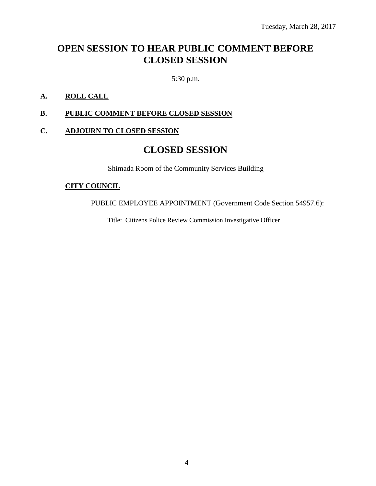# **OPEN SESSION TO HEAR PUBLIC COMMENT BEFORE CLOSED SESSION**

5:30 p.m.

### **A. ROLL CALL**

### **B. PUBLIC COMMENT BEFORE CLOSED SESSION**

#### **C. ADJOURN TO CLOSED SESSION**

### **CLOSED SESSION**

Shimada Room of the Community Services Building

#### **CITY COUNCIL**

PUBLIC EMPLOYEE APPOINTMENT (Government Code Section 54957.6):

Title: Citizens Police Review Commission Investigative Officer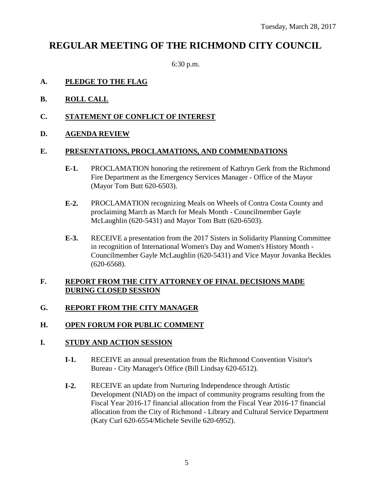# **REGULAR MEETING OF THE RICHMOND CITY COUNCIL**

6:30 p.m.

### **A. PLEDGE TO THE FLAG**

- **B. ROLL CALL**
- **C. STATEMENT OF CONFLICT OF INTEREST**
- **D. AGENDA REVIEW**

### **E. PRESENTATIONS, PROCLAMATIONS, AND COMMENDATIONS**

- **E-1.** PROCLAMATION honoring the retirement of Kathryn Gerk from the Richmond Fire Department as the Emergency Services Manager - Office of the Mayor (Mayor Tom Butt 620-6503).
- **E-2.** PROCLAMATION recognizing Meals on Wheels of Contra Costa County and proclaiming March as March for Meals Month - Councilmember Gayle McLaughlin (620-5431) and Mayor Tom Butt (620-6503).
- **E-3.** RECEIVE a presentation from the 2017 Sisters in Solidarity Planning Committee in recognition of International Women's Day and Women's History Month - Councilmember Gayle McLaughlin (620-5431) and Vice Mayor Jovanka Beckles (620-6568).

### **F. REPORT FROM THE CITY ATTORNEY OF FINAL DECISIONS MADE DURING CLOSED SESSION**

### **G. REPORT FROM THE CITY MANAGER**

### **H. OPEN FORUM FOR PUBLIC COMMENT**

### **I. STUDY AND ACTION SESSION**

- **I-1.** RECEIVE an annual presentation from the Richmond Convention Visitor's Bureau - City Manager's Office (Bill Lindsay 620-6512).
- **I-2.** RECEIVE an update from Nurturing Independence through Artistic Development (NIAD) on the impact of community programs resulting from the Fiscal Year 2016-17 financial allocation from the Fiscal Year 2016-17 financial allocation from the City of Richmond - Library and Cultural Service Department (Katy Curl 620-6554/Michele Seville 620-6952).